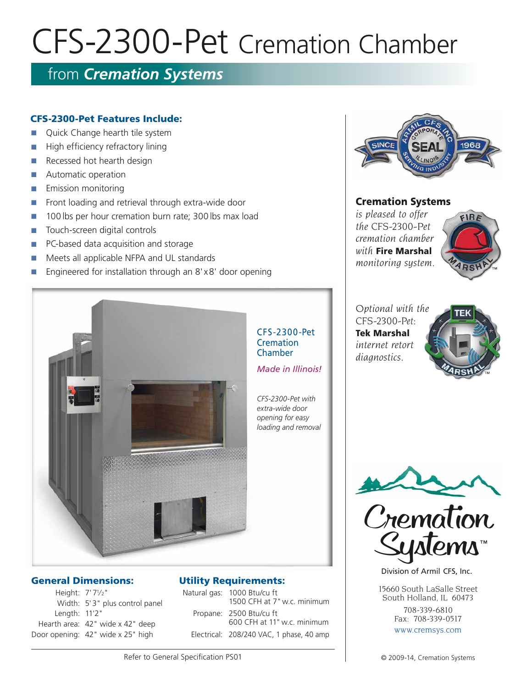# CFS-2300-Pet Cremation Chamber

# from *Cremation Systems*

## CFS-2300-Pet Features Include:

- Quick Change hearth tile system
- $\blacksquare$  High efficiency refractory lining
- Recessed hot hearth design
- **n** Automatic operation
- **n** Emission monitoring
- Front loading and retrieval through extra-wide door
- n 100 lbs per hour cremation burn rate; 300 lbs max load
- n Touch-screen digital controls
- **n** PC-based data acquisition and storage
- n Meets all applicable NFPA and UL standards
- Engineered for installation through an 8'x8' door opening



#### General Dimensions:

Height: 7'71/2" Width: 5'3" plus control panel Length: 11'2" Hearth area: 42" wide x 42" deep Door opening: 42" wide x 25" high

#### Utility Requirements:

| Natural gas: 1000 Btu/cu ft<br>1500 CFH at 7" w.c. minimum |
|------------------------------------------------------------|
| Propane: 2500 Btu/cu ft<br>600 CFH at 11" w.c. minimum     |
| Electrical: 208/240 VAC, 1 phase, 40 amp                   |



#### Cremation Systems

*is pleased to offer the CFS-2300-Pet cremation chamber with* Fire Marshal *monitoring system.*



*Optional with the CFS-2300-Pet:* Tek Marshal *internet retort diagnostics.*





Division of Armil CFS, Inc.

15660 South LaSalle Street South Holland, IL 60473

> 708-339-6810 Fax: 708-339-0517 www.cremsys.com